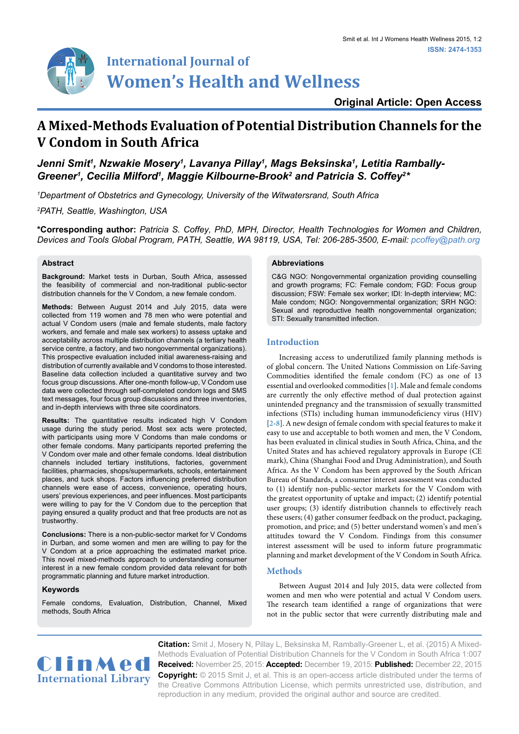

# **Original Article: Open Access**

# **A Mixed-Methods Evaluation of Potential Distribution Channels for the V Condom in South Africa**

Jenni Smit<sup>ı</sup>, Nzwakie Mosery<sup>ı</sup>, Lavanya Pillay<sup>ı</sup>, Mags Beksinska<sup>ı</sup>, Letitia Rambally-*Greener<sup>1</sup>, Cecilia Milford<sup>1</sup>, Maggie Kilbourne-Brook<sup>2</sup> and Patricia S. Coffey<sup>2</sup>\** 

*1 Department of Obstetrics and Gynecology, University of the Witwatersrand, South Africa*

*2 PATH, Seattle, Washington, USA*

**\*Corresponding author:** *Patricia S. Coffey, PhD, MPH, Director, Health Technologies for Women and Children, Devices and Tools Global Program, PATH, Seattle, WA 98119, USA, Tel: 206-285-3500, E-mail: pcoffey@path.org*

# **Abstract**

**Background:** Market tests in Durban, South Africa, assessed the feasibility of commercial and non-traditional public-sector distribution channels for the V Condom, a new female condom.

**Methods:** Between August 2014 and July 2015, data were collected from 119 women and 78 men who were potential and actual V Condom users (male and female students, male factory workers, and female and male sex workers) to assess uptake and acceptability across multiple distribution channels (a tertiary health service centre, a factory, and two nongovernmental organizations). This prospective evaluation included initial awareness-raising and distribution of currently available and V condoms to those interested. Baseline data collection included a quantitative survey and two focus group discussions. After one-month follow-up, V Condom use data were collected through self-completed condom logs and SMS text messages, four focus group discussions and three inventories, and in-depth interviews with three site coordinators.

**Results:** The quantitative results indicated high V Condom usage during the study period. Most sex acts were protected, with participants using more V Condoms than male condoms or other female condoms. Many participants reported preferring the V Condom over male and other female condoms. Ideal distribution channels included tertiary institutions, factories, government facilities, pharmacies, shops/supermarkets, schools, entertainment places, and tuck shops. Factors influencing preferred distribution channels were ease of access, convenience, operating hours, users' previous experiences, and peer influences. Most participants were willing to pay for the V Condom due to the perception that paying ensured a quality product and that free products are not as trustworthy.

**Conclusions:** There is a non-public-sector market for V Condoms in Durban, and some women and men are willing to pay for the V Condom at a price approaching the estimated market price. This novel mixed-methods approach to understanding consumer interest in a new female condom provided data relevant for both programmatic planning and future market introduction.

# **Keywords**

Female condoms, Evaluation, Distribution, Channel, Mixed methods, South Africa

#### **Abbreviations**

C&G NGO: Nongovernmental organization providing counselling and growth programs; FC: Female condom; FGD: Focus group discussion; FSW: Female sex worker; IDI: In-depth interview; MC: Male condom; NGO: Nongovernmental organization; SRH NGO: Sexual and reproductive health nongovernmental organization; STI: Sexually transmitted infection.

# **Introduction**

Increasing access to underutilized family planning methods is of global concern. The United Nations Commission on Life-Saving Commodities identified the female condom (FC) as one of 13 essential and overlooked commodities [[1](#page-6-0)]. Male and female condoms are currently the only effective method of dual protection against unintended pregnancy and the transmission of sexually transmitted infections (STIs) including human immunodeficiency virus (HIV) [\[2-](#page-6-1)[8](#page-6-2)]. A new design of female condom with special features to make it easy to use and acceptable to both women and men, the V Condom, has been evaluated in clinical studies in South Africa, China, and the United States and has achieved regulatory approvals in Europe (CE mark), China (Shanghai Food and Drug Administration), and South Africa. As the V Condom has been approved by the South African Bureau of Standards, a consumer interest assessment was conducted to (1) identify non-public-sector markets for the V Condom with the greatest opportunity of uptake and impact; (2) identify potential user groups; (3) identify distribution channels to effectively reach these users; (4) gather consumer feedback on the product, packaging, promotion, and price; and (5) better understand women's and men's attitudes toward the V Condom. Findings from this consumer interest assessment will be used to inform future programmatic planning and market development of the V Condom in South Africa.

# **Methods**

Between August 2014 and July 2015, data were collected from women and men who were potential and actual V Condom users. The research team identified a range of organizations that were not in the public sector that were currently distributing male and



**Citation:** Smit J, Mosery N, Pillay L, Beksinska M, Rambally-Greener L, et al. (2015) A Mixed-Methods Evaluation of Potential Distribution Channels for the V Condom in South Africa 1:007 **Received:** November 25, 2015: **Accepted:** December 19, 2015: **Published:** December 22, 2015 **Copyright:** © 2015 Smit J, et al. This is an open-access article distributed under the terms of the Creative Commons Attribution License, which permits unrestricted use, distribution, and reproduction in any medium, provided the original author and source are credited.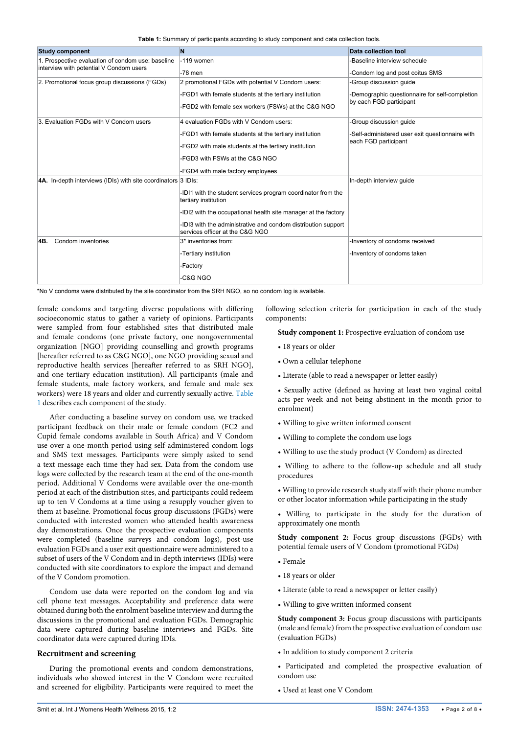<span id="page-1-0"></span>**Table 1:** Summary of participants according to study component and data collection tools.

| <b>Study component</b>                                        | N                                                                                                | Data collection tool                                                    |  |  |  |
|---------------------------------------------------------------|--------------------------------------------------------------------------------------------------|-------------------------------------------------------------------------|--|--|--|
| 1. Prospective evaluation of condom use: baseline             | -119 women                                                                                       | -Baseline interview schedule                                            |  |  |  |
| interview with potential V Condom users                       | $-78$ men                                                                                        | -Condom log and post coitus SMS                                         |  |  |  |
| 2. Promotional focus group discussions (FGDs)                 | 2 promotional FGDs with potential V Condom users:                                                | -Group discussion quide                                                 |  |  |  |
|                                                               | -FGD1 with female students at the tertiary institution                                           | -Demographic questionnaire for self-completion                          |  |  |  |
|                                                               | -FGD2 with female sex workers (FSWs) at the C&G NGO                                              | by each FGD participant                                                 |  |  |  |
| 3. Evaluation FGDs with V Condom users                        | 4 evaluation FGDs with V Condom users:                                                           | -Group discussion quide                                                 |  |  |  |
|                                                               | -FGD1 with female students at the tertiary institution                                           | -Self-administered user exit questionnaire with<br>each FGD participant |  |  |  |
|                                                               | -FGD2 with male students at the tertiary institution                                             |                                                                         |  |  |  |
|                                                               | -FGD3 with FSWs at the C&G NGO                                                                   |                                                                         |  |  |  |
|                                                               | -FGD4 with male factory employees                                                                |                                                                         |  |  |  |
| 4A. In-depth interviews (IDIs) with site coordinators 3 IDIs: |                                                                                                  | In-depth interview quide                                                |  |  |  |
|                                                               | -IDI1 with the student services program coordinator from the<br>tertiary institution             |                                                                         |  |  |  |
|                                                               | -IDI2 with the occupational health site manager at the factory                                   |                                                                         |  |  |  |
|                                                               | -IDI3 with the administrative and condom distribution support<br>services officer at the C&G NGO |                                                                         |  |  |  |
| Condom inventories<br>4B.                                     | 3* inventories from:                                                                             | -Inventory of condoms received                                          |  |  |  |
|                                                               | -Tertiary institution                                                                            | -Inventory of condoms taken                                             |  |  |  |
|                                                               | -Factory                                                                                         |                                                                         |  |  |  |
|                                                               | -C&G NGO                                                                                         |                                                                         |  |  |  |

\*No V condoms were distributed by the site coordinator from the SRH NGO, so no condom log is available.

female condoms and targeting diverse populations with differing socioeconomic status to gather a variety of opinions. Participants were sampled from four established sites that distributed male and female condoms (one private factory, one nongovernmental organization [NGO] providing counselling and growth programs [hereafter referred to as C&G NGO], one NGO providing sexual and reproductive health services [hereafter referred to as SRH NGO], and one tertiary education institution). All participants (male and female students, male factory workers, and female and male sex workers) were 18 years and older and currently sexually active. [Table](#page-1-0)  [1](#page-1-0) describes each component of the study.

After conducting a baseline survey on condom use, we tracked participant feedback on their male or female condom (FC2 and Cupid female condoms available in South Africa) and V Condom use over a one-month period using self-administered condom logs and SMS text messages. Participants were simply asked to send a text message each time they had sex. Data from the condom use logs were collected by the research team at the end of the one-month period. Additional V Condoms were available over the one-month period at each of the distribution sites, and participants could redeem up to ten V Condoms at a time using a resupply voucher given to them at baseline. Promotional focus group discussions (FGDs) were conducted with interested women who attended health awareness day demonstrations. Once the prospective evaluation components were completed (baseline surveys and condom logs), post-use evaluation FGDs and a user exit questionnaire were administered to a subset of users of the V Condom and in-depth interviews (IDIs) were conducted with site coordinators to explore the impact and demand of the V Condom promotion.

Condom use data were reported on the condom log and via cell phone text messages. Acceptability and preference data were obtained during both the enrolment baseline interview and during the discussions in the promotional and evaluation FGDs. Demographic data were captured during baseline interviews and FGDs. Site coordinator data were captured during IDIs.

#### **Recruitment and screening**

During the promotional events and condom demonstrations, individuals who showed interest in the V Condom were recruited and screened for eligibility. Participants were required to meet the following selection criteria for participation in each of the study components:

**Study component 1:** Prospective evaluation of condom use

- 18 years or older
- Own a cellular telephone
- Literate (able to read a newspaper or letter easily)
- Sexually active (defined as having at least two vaginal coital acts per week and not being abstinent in the month prior to enrolment)
- Willing to give written informed consent
- Willing to complete the condom use logs
- Willing to use the study product (V Condom) as directed

• Willing to adhere to the follow-up schedule and all study procedures

• Willing to provide research study staff with their phone number or other locator information while participating in the study

• Willing to participate in the study for the duration of approximately one month

**Study component 2:** Focus group discussions (FGDs) with potential female users of V Condom (promotional FGDs)

- Female
- 18 years or older
- Literate (able to read a newspaper or letter easily)
- Willing to give written informed consent

**Study component 3:** Focus group discussions with participants (male and female) from the prospective evaluation of condom use (evaluation FGDs)

- In addition to study component 2 criteria
- Participated and completed the prospective evaluation of condom use
- Used at least one V Condom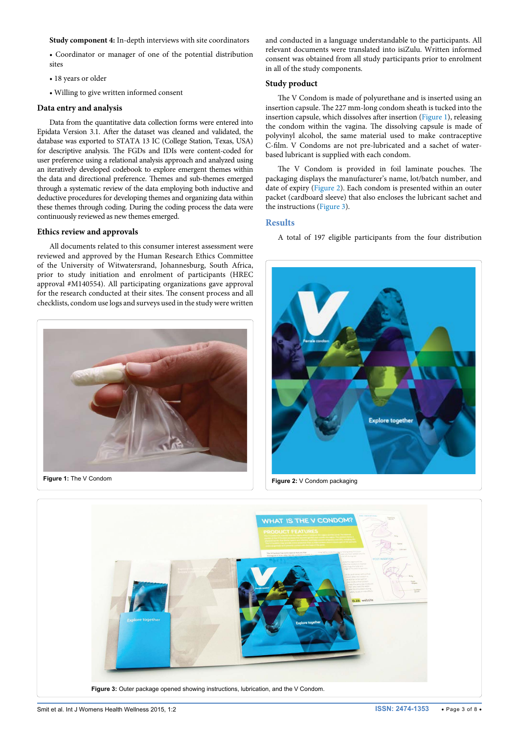#### **Study component 4:** In-depth interviews with site coordinators

• Coordinator or manager of one of the potential distribution sites

- 18 years or older
- Willing to give written informed consent

#### **Data entry and analysis**

Data from the quantitative data collection forms were entered into Epidata Version 3.1. After the dataset was cleaned and validated, the database was exported to STATA 13 IC (College Station, Texas, USA) for descriptive analysis. The FGDs and IDIs were content-coded for user preference using a relational analysis approach and analyzed using an iteratively developed codebook to explore emergent themes within the data and directional preference. Themes and sub-themes emerged through a systematic review of the data employing both inductive and deductive procedures for developing themes and organizing data within these themes through coding. During the coding process the data were continuously reviewed as new themes emerged.

#### **Ethics review and approvals**

All documents related to this consumer interest assessment were reviewed and approved by the Human Research Ethics Committee of the University of Witwatersrand, Johannesburg, South Africa, prior to study initiation and enrolment of participants (HREC approval #M140554). All participating organizations gave approval for the research conducted at their sites. The consent process and all checklists, condom use logs and surveys used in the study were written

<span id="page-2-0"></span>

and conducted in a language understandable to the participants. All relevant documents were translated into isiZulu. Written informed consent was obtained from all study participants prior to enrolment in all of the study components.

#### **Study product**

The V Condom is made of polyurethane and is inserted using an insertion capsule. The 227 mm-long condom sheath is tucked into the insertion capsule, which dissolves after insertion ([Figure 1\)](#page-2-0), releasing the condom within the vagina. The dissolving capsule is made of polyvinyl alcohol, the same material used to make contraceptive C-film. V Condoms are not pre-lubricated and a sachet of waterbased lubricant is supplied with each condom.

The V Condom is provided in foil laminate pouches. The packaging displays the manufacturer's name, lot/batch number, and date of expiry [\(Figure 2](#page-2-1)). Each condom is presented within an outer packet (cardboard sleeve) that also encloses the lubricant sachet and the instructions ([Figure 3](#page-2-2)).

#### **Results**

A total of 197 eligible participants from the four distribution

<span id="page-2-1"></span>

<span id="page-2-2"></span>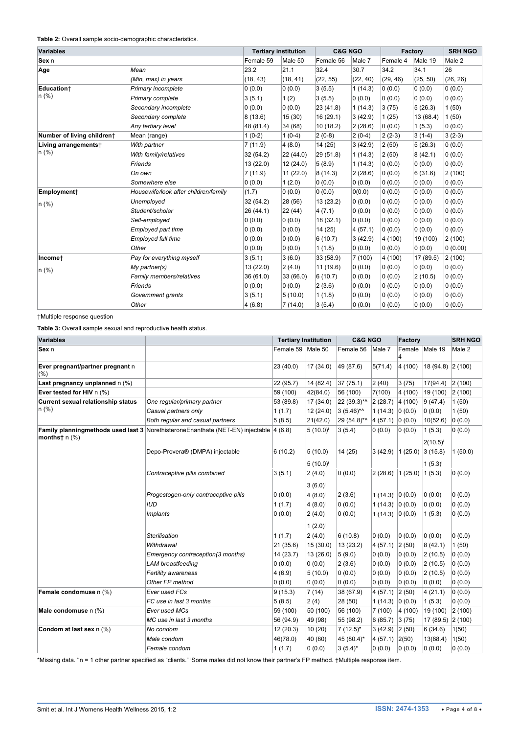<span id="page-3-0"></span>**Table 2:** Overall sample socio-demographic characteristics.

| <b>Variables</b>           |                                      |           | <b>Tertiary institution</b> |           | <b>C&amp;G NGO</b> |          | <b>Factory</b> |          |
|----------------------------|--------------------------------------|-----------|-----------------------------|-----------|--------------------|----------|----------------|----------|
| Sex n                      |                                      | Female 59 | Male 50                     | Female 56 | Male 7             | Female 4 | Male 19        | Male 2   |
| Age                        | Mean                                 | 23.2      | 21.1                        | 32.4      | 30.7               | 34.2     | 34.1           | 26       |
|                            | (Min, max) in years                  | (18, 43)  | (18, 41)                    | (22, 55)  | (22, 40)           | (29, 46) | (25, 50)       | (26, 26) |
| Education+                 | Primary incomplete                   | 0(0.0)    | 0(0.0)                      | 3(5.5)    | 1(14.3)            | 0(0.0)   | 0(0.0)         | 0(0.0)   |
| $n(\%)$                    | Primary complete                     | 3(5.1)    | 1(2)                        | 3(5.5)    | 0(0.0)             | 0(0.0)   | 0(0.0)         | 0(0.0)   |
|                            | Secondary incomplete                 | 0(0.0)    | 0(0.0)                      | 23 (41.8) | 1(14.3)            | 3(75)    | 5(26.3)        | 1(50)    |
|                            | Secondary complete                   | 8(13.6)   | 15(30)                      | 16 (29.1) | 3(42.9)            | 1(25)    | 13 (68.4)      | 1(50)    |
|                            | Any tertiary level                   | 48 (81.4) | 34 (68)                     | 10(18.2)  | 2(28.6)            | 0(0.0)   | 1(5.3)         | 0(0.0)   |
| Number of living childrent | Mean (range)                         | $1(0-2)$  | $1(0-4)$                    | $2(0-8)$  | $2(0-4)$           | $2(2-3)$ | $3(1-4)$       | $3(2-3)$ |
| Living arrangements†       | With partner                         | 7(11.9)   | 4(8.0)                      | 14(25)    | 3(42.9)            | 2(50)    | 5(26.3)        | 0(0.0)   |
| $n$ (%)                    | With family/relatives                | 32(54.2)  | 22 (44.0)                   | 29 (51.8) | 1(14.3)            | 2(50)    | 8(42.1)        | 0(0.0)   |
|                            | Friends                              | 13 (22.0) | 12(24.0)                    | 5(8.9)    | 1(14.3)            | 0(0.0)   | 0(0.0)         | 0(0.0)   |
|                            | On own                               | 7(11.9)   | 11(22.0)                    | 8(14.3)   | 2(28.6)            | 0(0.0)   | 6(31.6)        | 2(100)   |
|                            | Somewhere else                       | 0(0.0)    | 1(2.0)                      | 0(0.0)    | 0(0.0)             | 0(0.0)   | 0(0.0)         | 0(0.0)   |
| Employment+                | Housewife/look after children/family | (1.7)     | 0(0.0)                      | 0(0.0)    | 0(0.0)             | 0(0.0)   | 0(0.0)         | 0(0.0)   |
| $n$ (%)                    | Unemployed                           | 32(54.2)  | 28 (56)                     | 13(23.2)  | 0(0.0)             | 0(0.0)   | 0(0.0)         | 0(0.0)   |
|                            | Student/scholar                      | 26(44.1)  | 22(44)                      | 4(7.1)    | 0(0.0)             | 0(0.0)   | 0(0.0)         | 0(0.0)   |
|                            | Self-employed                        | 0(0.0)    | 0(0.0)                      | 18(32.1)  | 0(0.0)             | 0(0.0)   | 0(0.0)         | 0(0.0)   |
|                            | Employed part time                   | 0(0.0)    | 0(0.0)                      | 14(25)    | 4(57.1)            | 0(0.0)   | 0(0.0)         | 0(0.0)   |
|                            | Employed full time                   | 0(0.0)    | 0(0.0)                      | 6(10.7)   | 3(42.9)            | 4 (100)  | 19 (100)       | 2(100)   |
|                            | Other                                | 0(0.0)    | 0(0.0)                      | 1(1.8)    | 0(0.0)             | 0(0.0)   | 0(0.0)         | 0(0.00)  |
| Incomet                    | Pay for everything myself            | 3(5.1)    | 3(6.0)                      | 33 (58.9) | 7(100)             | 4 (100)  | 17 (89.5)      | 2(100)   |
| $n$ (%)                    | My partner(s)                        | 13 (22.0) | 2(4.0)                      | 11 (19.6) | 0(0.0)             | 0(0.0)   | 0(0.0)         | 0(0.0)   |
|                            | Family members/relatives             | 36(61.0)  | 33 (66.0)                   | 6(10.7)   | 0(0.0)             | 0(0.0)   | 2(10.5)        | 0(0.0)   |
|                            | Friends                              | 0(0.0)    | 0(0.0)                      | 2(3.6)    | 0(0.0)             | 0(0.0)   | 0(0.0)         | 0(0.0)   |
|                            | Government grants                    | 3(5.1)    | 5(10.0)                     | 1(1.8)    | 0(0.0)             | 0(0.0)   | 0(0.0)         | 0(0.0)   |
|                            | Other                                | 4(6.8)    | 7(14.0)                     | 3(5.4)    | 0(0.0)             | 0(0.0)   | 0(0.0)         | 0(0.0)   |

†Multiple response question

<span id="page-3-1"></span>**Table 3:** Overall sample sexual and reproductive health status.

| <b>Variables</b>                          |                                                                                 | <b>Tertiary Institution</b> |               | <b>C&amp;G NGO</b> |                          | Factory                            |                         | <b>SRH NGO</b> |
|-------------------------------------------|---------------------------------------------------------------------------------|-----------------------------|---------------|--------------------|--------------------------|------------------------------------|-------------------------|----------------|
| Sex n                                     |                                                                                 | Female 59 Male 50           |               | Female 56          | Male 7                   | Female                             | Male 19                 | Male 2         |
| Ever pregnant/partner pregnant n<br>(% )  |                                                                                 | 23 (40.0)                   | 17(34.0)      | 49 (87.6)          | 5(71.4)                  | 4(100)                             | $18(94.8)$ $2(100)$     |                |
| Last pregnancy unplanned n (%)            |                                                                                 | 22 (95.7)                   | 14 (82.4)     | 37 (75.1)          | 2(40)                    | 3(75)                              | 17(94.4)                | 2(100)         |
| Ever tested for HIV n (%)                 |                                                                                 | 59 (100)                    | 42(84.0)      | 56 (100)           | 7(100)                   | 4 (100)                            | 19 (100)                | 2(100)         |
| <b>Current sexual relationship status</b> | One regular/primary partner                                                     | 53 (89.8)                   | 17 (34.0)     | 22 (39.3)*^        | 2(28.7)                  | 4(100)                             | 9(47.4)                 | 1(50)          |
| $n$ (%)                                   | Casual partners only                                                            | 1(1.7)                      | 12(24.0)      | $3(5.46)$ *^       | 1(14.3)                  | 0(0.0)                             | 0(0.0)                  | 1(50)          |
|                                           | Both regular and casual partners                                                | 5(8.5)                      | 21(42.0)      | 29 (54.8)*^        | 4(57.1)                  | 0(0.0)                             | 10(52.6)                | 0(0.0)         |
| months $\dagger$ n $(\%)$                 | Family planningmethods used last 3 Norethisterone Enanthate (NET-EN) injectable | 4(6.8)                      | $5(10.0)^{i}$ | 3(5.4)             | 0(0.0)                   | 0(0.0)                             | 1(5.3)<br>$2(10.5)^{i}$ | 0(0.0)         |
|                                           | Depo-Provera® (DMPA) injectable                                                 | 6(10.2)                     | 5(10.0)       | 14(25)             | 3(42.9)                  | $1(25.0)$ 3 (15.8)                 |                         | 1(50.0)        |
|                                           |                                                                                 |                             | $5(10.0)^{i}$ |                    |                          |                                    | $1(5.3)^{i}$            |                |
|                                           | Contraceptive pills combined                                                    | 3(5.1)                      | 2(4.0)        | 0(0.0)             |                          | $2(28.6)^{i}$   1 (25.0)   1 (5.3) |                         | 0(0.0)         |
|                                           |                                                                                 |                             | $3(6.0)^{i}$  |                    |                          |                                    |                         |                |
|                                           | Progestogen-only contraceptive pills                                            | 0(0.0)                      | $4(8.0)^{i}$  | 2(3.6)             | $1(14.3)^{i}$ 0 (0.0)    |                                    | 0(0.0)                  | 0(0.0)         |
|                                           | <b>IUD</b>                                                                      | 1(1.7)                      | $4(8.0)^{i}$  | 0(0.0)             | 1 $(14.3)^{i}$ 0 $(0.0)$ |                                    | 0(0.0)                  | (0.0)          |
|                                           | <b>Implants</b>                                                                 | 0(0.0)                      | 2(4.0)        | 0(0.0)             | 1 $(14.3)^{i}$ 0 $(0.0)$ |                                    | 1(5.3)                  | 0(0.0)         |
|                                           |                                                                                 |                             | $1(2.0)^{i}$  |                    |                          |                                    |                         |                |
|                                           | <b>Sterilisation</b>                                                            | 1(1.7)                      | 2(4.0)        | 6(10.8)            | 0(0.0)                   | 0(0.0)                             | 0(0.0)                  | 0(0.0)         |
|                                           | Withdrawal                                                                      | 21 (35.6)                   | 15(30.0)      | 13 (23.2)          | $4(57.1)$ 2(50)          |                                    | 8(42.1)                 | 1(50)          |
|                                           | Emergency contraception(3 months)                                               | 14(23.7)                    | 13 (26.0)     | 5(9.0)             | 0(0.0)                   | 0(0.0)                             | 2(10.5)                 | 0(0.0)         |
|                                           | <b>LAM</b> breastfeeding                                                        | 0(0.0)                      | 0(0.0)        | 2(3.6)             | 0(0.0)                   | 0(0.0)                             | 2(10.5)                 | 0(0.0)         |
|                                           | Fertility awareness                                                             | 4(6.9)                      | 5(10.0)       | 0(0.0)             | 0(0.0)                   | 0(0.0)                             | 2(10.5)                 | 0(0.0)         |
|                                           | Other FP method                                                                 | 0(0.0)                      | 0(0.0)        | 0(0.0)             | 0(0.0)                   | 0(0.0)                             | 0(0.0)                  | 0(0.0)         |
| Female condomuse n (%)                    | Ever used FCs                                                                   | 9(15.3)                     | 7(14)         | 38 (67.9)          | 4(57.1)                  | 2(50)                              | 4(21.1)                 | 0(0.0)         |
|                                           | FC use in last 3 months                                                         | 5(8.5)                      | 2(4)          | 28 (50)            | 1(14.3) 0(0.0)           |                                    | 1(5.3)                  | 0(0.0)         |
| Male condomuse n (%)                      | Ever used MCs                                                                   | 59 (100)                    | 50 (100)      | 56 (100)           | 7(100)                   | 4(100)                             | 19 (100)                | 2(100)         |
|                                           | MC use in last 3 months                                                         | 56 (94.9)                   | 49 (98)       | 55 (98.2)          | $6(85.7)$ 3 (75)         |                                    | 17 (89.5) 2 (100)       |                |
| Condom at last sex n (%)                  | No condom                                                                       | 12(20.3)                    | 10 (20)       | $7(12.5)^{*}$      | $3(42.9)$ 2(50)          |                                    | 6(34.6)                 | 1(50)          |
|                                           | Male condom                                                                     | 46(78.0)                    | 40 (80)       | 45 (80.4)*         | 4(57.1)                  | 2(50)                              | 13(68.4)                | 1(50)          |
|                                           | Female condom                                                                   | 1(1.7)                      | 0(0.0)        | $3(5.4)^{*}$       | 0(0.0)                   | 0(0.0)                             | 0(0.0)                  | 0(0.0)         |

\*Missing data. ^n = 1 other partner specified as "clients." 'Some males did not know their partner's FP method. †Multiple response item.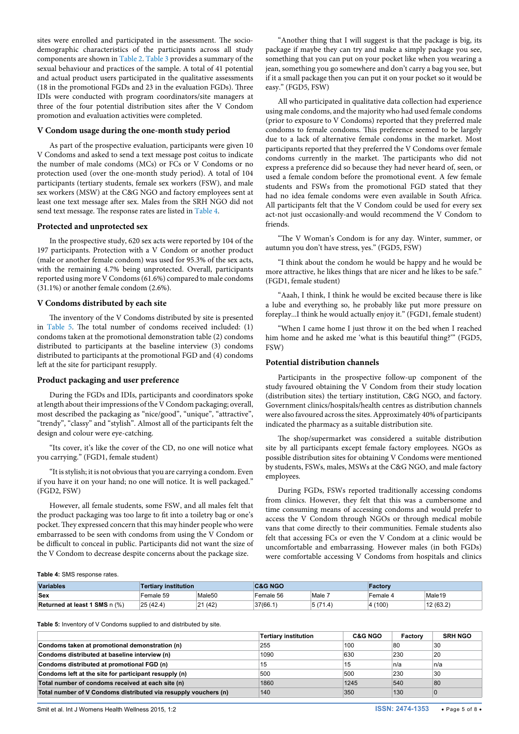sites were enrolled and participated in the assessment. The sociodemographic characteristics of the participants across all study components are shown in [Table 2](#page-3-0). [Table 3](#page-3-1) provides a summary of the sexual behaviour and practices of the sample. A total of 41 potential and actual product users participated in the qualitative assessments (18 in the promotional FGDs and 23 in the evaluation FGDs). Three IDIs were conducted with program coordinators/site managers at three of the four potential distribution sites after the V Condom promotion and evaluation activities were completed.

#### **V Condom usage during the one-month study period**

As part of the prospective evaluation, participants were given 10 V Condoms and asked to send a text message post coitus to indicate the number of male condoms (MCs) or FCs or V Condoms or no protection used (over the one-month study period). A total of 104 participants (tertiary students, female sex workers (FSW), and male sex workers (MSW) at the C&G NGO and factory employees sent at least one text message after sex. Males from the SRH NGO did not send text message. The response rates are listed in T[able 4.](#page-4-0)

#### **Protected and unprotected sex**

In the prospective study, 620 sex acts were reported by 104 of the 197 participants. Protection with a V Condom or another product (male or another female condom) was used for 95.3% of the sex acts, with the remaining 4.7% being unprotected. Overall, participants reported using more V Condoms (61.6%) compared to male condoms (31.1%) or another female condom (2.6%).

#### **V Condoms distributed by each site**

The inventory of the V Condoms distributed by site is presented in [Table 5.](#page-4-1) The total number of condoms received included: (1) condoms taken at the promotional demonstration table (2) condoms distributed to participants at the baseline interview (3) condoms distributed to participants at the promotional FGD and (4) condoms left at the site for participant resupply.

#### **Product packaging and user preference**

During the FGDs and IDIs, participants and coordinators spoke at length about their impressions of the V Condom packaging; overall, most described the packaging as "nice/good", "unique", "attractive", "trendy", "classy" and "stylish". Almost all of the participants felt the design and colour were eye-catching.

"Its cover, it's like the cover of the CD, no one will notice what you carrying." (FGD1, female student)

"It is stylish; it is not obvious that you are carrying a condom. Even if you have it on your hand; no one will notice. It is well packaged." (FGD2, FSW)

However, all female students, some FSW, and all males felt that the product packaging was too large to fit into a toiletry bag or one's pocket. They expressed concern that this may hinder people who were embarrassed to be seen with condoms from using the V Condom or be difficult to conceal in public. Participants did not want the size of the V Condom to decrease despite concerns about the package size.

"Another thing that I will suggest is that the package is big, its package if maybe they can try and make a simply package you see, something that you can put on your pocket like when you wearing a jean, something you go somewhere and don't carry a bag you see, but if it a small package then you can put it on your pocket so it would be easy." (FGD5, FSW)

All who participated in qualitative data collection had experience using male condoms, and the majority who had used female condoms (prior to exposure to V Condoms) reported that they preferred male condoms to female condoms. This preference seemed to be largely due to a lack of alternative female condoms in the market. Most participants reported that they preferred the V Condoms over female condoms currently in the market. The participants who did not express a preference did so because they had never heard of, seen, or used a female condom before the promotional event. A few female students and FSWs from the promotional FGD stated that they had no idea female condoms were even available in South Africa. All participants felt that the V Condom could be used for every sex act-not just occasionally-and would recommend the V Condom to friends.

"The V Woman's Condom is for any day. Winter, summer, or autumn you don't have stress, yes." (FGD5, FSW)

"I think about the condom he would be happy and he would be more attractive, he likes things that are nicer and he likes to be safe." (FGD1, female student)

"Aaah, I think, I think he would be excited because there is like a lube and everything so, he probably like put more pressure on foreplay...I think he would actually enjoy it." (FGD1, female student)

"When I came home I just throw it on the bed when I reached him home and he asked me 'what is this beautiful thing?'" (FGD5, FSW)

#### **Potential distribution channels**

Participants in the prospective follow-up component of the study favoured obtaining the V Condom from their study location (distribution sites) the tertiary institution, C&G NGO, and factory. Government clinics/hospitals/health centres as distribution channels were also favoured across the sites. Approximately 40% of participants indicated the pharmacy as a suitable distribution site.

The shop/supermarket was considered a suitable distribution site by all participants except female factory employees. NGOs as possible distribution sites for obtaining V Condoms were mentioned by students, FSWs, males, MSWs at the C&G NGO, and male factory employees.

During FGDs, FSWs reported traditionally accessing condoms from clinics. However, they felt that this was a cumbersome and time consuming means of accessing condoms and would prefer to access the V Condom through NGOs or through medical mobile vans that come directly to their communities. Female students also felt that accessing FCs or even the V Condom at a clinic would be uncomfortable and embarrassing. However males (in both FGDs) were comfortable accessing V Condoms from hospitals and clinics

#### <span id="page-4-0"></span>**Table 4:** SMS response rates.

| <b>Variables</b>              | <b>Tertiary institution</b> |                    | <b>C&amp;G NGO</b> |         | Factorv  |                    |  |
|-------------------------------|-----------------------------|--------------------|--------------------|---------|----------|--------------------|--|
| <b>Sex</b>                    | Female 59                   | Male <sub>50</sub> | Female 56          | Male 7  | Female 4 | Male <sub>19</sub> |  |
| Returned at least 1 SMS n (%) | 25(42.4)                    | 21 (42)            | 37(66.1)           | 5(71.4) | 4(100)   | 12(63.2)           |  |

<span id="page-4-1"></span>**Table 5:** Inventory of V Condoms supplied to and distributed by site.

|                                                                 | <b>Tertiary institution</b> | <b>C&amp;G NGO</b> | Factory | <b>SRH NGO</b> |
|-----------------------------------------------------------------|-----------------------------|--------------------|---------|----------------|
| Condoms taken at promotional demonstration (n)                  | 255                         | 100                | 80      | 30             |
| Condoms distributed at baseline interview (n)                   | 1090                        | 630                | 230     | 20             |
| Condoms distributed at promotional FGD (n)                      | 15                          | 15                 | ∣n/a    | n/a            |
| Condoms left at the site for participant resupply (n)           | 500                         | 500                | 230     | 30             |
| Total number of condoms received at each site (n)               | 1860                        | 1245               | 540     | 80             |
| Total number of V Condoms distributed via resupply vouchers (n) | 140                         | 350                | 130     |                |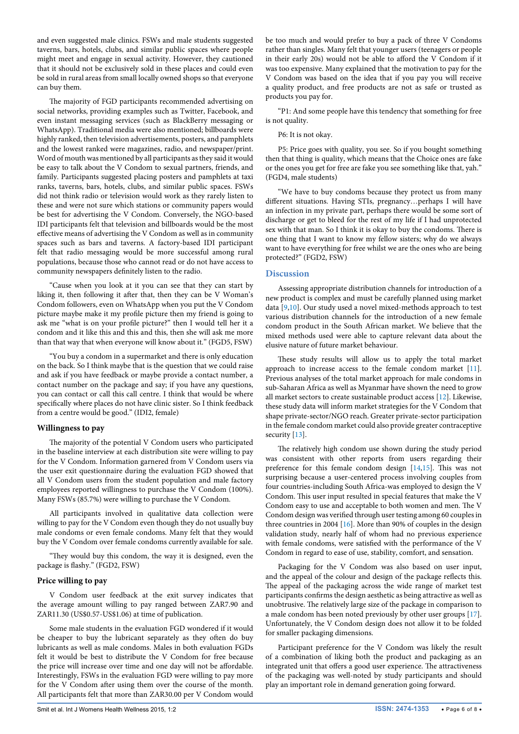and even suggested male clinics. FSWs and male students suggested taverns, bars, hotels, clubs, and similar public spaces where people might meet and engage in sexual activity. However, they cautioned that it should not be exclusively sold in these places and could even be sold in rural areas from small locally owned shops so that everyone can buy them.

The majority of FGD participants recommended advertising on social networks, providing examples such as Twitter, Facebook, and even instant messaging services (such as BlackBerry messaging or WhatsApp). Traditional media were also mentioned; billboards were highly ranked, then television advertisements, posters, and pamphlets and the lowest ranked were magazines, radio, and newspaper/print. Word of mouth was mentioned by all participants as they said it would be easy to talk about the V Condom to sexual partners, friends, and family. Participants suggested placing posters and pamphlets at taxi ranks, taverns, bars, hotels, clubs, and similar public spaces. FSWs did not think radio or television would work as they rarely listen to these and were not sure which stations or community papers would be best for advertising the V Condom. Conversely, the NGO-based IDI participants felt that television and billboards would be the most effective means of advertising the V Condom as well as in community spaces such as bars and taverns. A factory-based IDI participant felt that radio messaging would be more successful among rural populations, because those who cannot read or do not have access to community newspapers definitely listen to the radio.

"Cause when you look at it you can see that they can start by liking it, then following it after that, then they can be V Woman's Condom followers, even on WhatsApp when you put the V Condom picture maybe make it my profile picture then my friend is going to ask me "what is on your profile picture?" then I would tell her it a condom and it like this and this and this, then she will ask me more than that way that when everyone will know about it." (FGD5, FSW)

"You buy a condom in a supermarket and there is only education on the back. So I think maybe that is the question that we could raise and ask if you have feedback or maybe provide a contact number, a contact number on the package and say; if you have any questions, you can contact or call this call centre. I think that would be where specifically where places do not have clinic sister. So I think feedback from a centre would be good." (IDI2, female)

#### **Willingness to pay**

The majority of the potential V Condom users who participated in the baseline interview at each distribution site were willing to pay for the V Condom. Information garnered from V Condom users via the user exit questionnaire during the evaluation FGD showed that all V Condom users from the student population and male factory employees reported willingness to purchase the V Condom (100%). Many FSWs (85.7%) were willing to purchase the V Condom.

All participants involved in qualitative data collection were willing to pay for the V Condom even though they do not usually buy male condoms or even female condoms. Many felt that they would buy the V Condom over female condoms currently available for sale.

"They would buy this condom, the way it is designed, even the package is flashy." (FGD2, FSW)

### **Price willing to pay**

V Condom user feedback at the exit survey indicates that the average amount willing to pay ranged between ZAR7.90 and ZAR11.30 (US\$0.57-US\$1.06) at time of publication.

Some male students in the evaluation FGD wondered if it would be cheaper to buy the lubricant separately as they often do buy lubricants as well as male condoms. Males in both evaluation FGDs felt it would be best to distribute the V Condom for free because the price will increase over time and one day will not be affordable. Interestingly, FSWs in the evaluation FGD were willing to pay more for the V Condom after using them over the course of the month. All participants felt that more than ZAR30.00 per V Condom would be too much and would prefer to buy a pack of three V Condoms rather than singles. Many felt that younger users (teenagers or people in their early 20s) would not be able to afford the V Condom if it was too expensive. Many explained that the motivation to pay for the V Condom was based on the idea that if you pay you will receive a quality product, and free products are not as safe or trusted as products you pay for.

"P1: And some people have this tendency that something for free is not quality.

#### P6: It is not okay.

P5: Price goes with quality, you see. So if you bought something then that thing is quality, which means that the Choice ones are fake or the ones you get for free are fake you see something like that, yah." (FGD4, male students)

"We have to buy condoms because they protect us from many different situations. Having STIs, pregnancy…perhaps I will have an infection in my private part, perhaps there would be some sort of discharge or get to bleed for the rest of my life if I had unprotected sex with that man. So I think it is okay to buy the condoms. There is one thing that I want to know my fellow sisters; why do we always want to have everything for free whilst we are the ones who are being protected?" (FGD2, FSW)

# **Discussion**

Assessing appropriate distribution channels for introduction of a new product is complex and must be carefully planned using market data [[9,](#page-6-3)[10\]](#page-6-4). Our study used a novel mixed-methods approach to test various distribution channels for the introduction of a new female condom product in the South African market. We believe that the mixed methods used were able to capture relevant data about the elusive nature of future market behaviour.

These study results will allow us to apply the total market approach to increase access to the female condom market [[11\]](#page-6-5). Previous analyses of the total market approach for male condoms in sub-Saharan Africa as well as Myanmar have shown the need to grow all market sectors to create sustainable product access [[12](#page-6-6)]. Likewise, these study data will inform market strategies for the V Condom that shape private-sector/NGO reach. Greater private-sector participation in the female condom market could also provide greater contraceptive security [\[13\]](#page-6-7).

The relatively high condom use shown during the study period was consistent with other reports from users regarding their preference for this female condom design [[14,](#page-6-8)[15](#page-6-9)]. This was not surprising because a user-centered process involving couples from four countries-including South Africa-was employed to design the V Condom. This user input resulted in special features that make the V Condom easy to use and acceptable to both women and men. The V Condom design was verified through user testing among 60 couples in three countries in 2004 [\[16\]](#page-7-0). More than 90% of couples in the design validation study, nearly half of whom had no previous experience with female condoms, were satisfied with the performance of the V Condom in regard to ease of use, stability, comfort, and sensation.

Packaging for the V Condom was also based on user input, and the appeal of the colour and design of the package reflects this. The appeal of the packaging across the wide range of market test participants confirms the design aesthetic as being attractive as well as unobtrusive. The relatively large size of the package in comparison to a male condom has been noted previously by other user groups [[17\]](#page-7-1). Unfortunately, the V Condom design does not allow it to be folded for smaller packaging dimensions.

Participant preference for the V Condom was likely the result of a combination of liking both the product and packaging as an integrated unit that offers a good user experience. The attractiveness of the packaging was well-noted by study participants and should play an important role in demand generation going forward.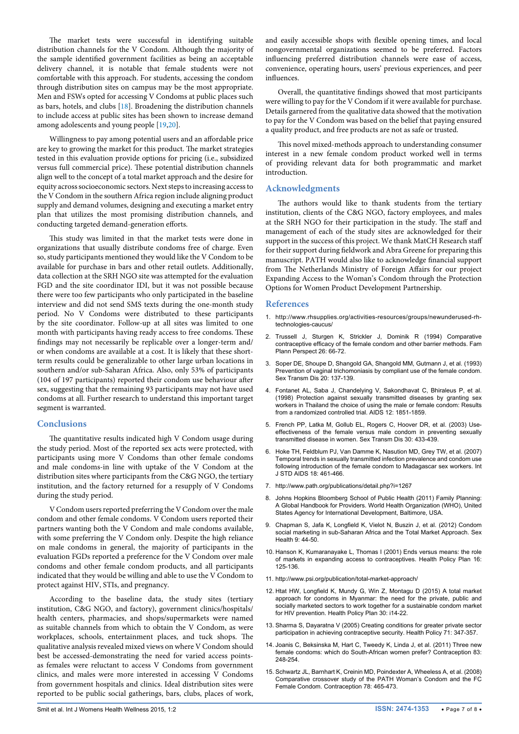The market tests were successful in identifying suitable distribution channels for the V Condom. Although the majority of the sample identified government facilities as being an acceptable delivery channel, it is notable that female students were not comfortable with this approach. For students, accessing the condom through distribution sites on campus may be the most appropriate. Men and FSWs opted for accessing V Condoms at public places such as bars, hotels, and clubs  $[18]$  $[18]$ . Broadening the distribution channels to include access at public sites has been shown to increase demand among adolescents and young people [\[19](#page-7-3)[,20\]](#page-7-4).

Willingness to pay among potential users and an affordable price are key to growing the market for this product. The market strategies tested in this evaluation provide options for pricing (i.e., subsidized versus full commercial price). These potential distribution channels align well to the concept of a total market approach and the desire for equity across socioeconomic sectors. Next steps to increasing access to the V Condom in the southern Africa region include aligning product supply and demand volumes, designing and executing a market entry plan that utilizes the most promising distribution channels, and conducting targeted demand-generation efforts.

This study was limited in that the market tests were done in organizations that usually distribute condoms free of charge. Even so, study participants mentioned they would like the V Condom to be available for purchase in bars and other retail outlets. Additionally, data collection at the SRH NGO site was attempted for the evaluation FGD and the site coordinator IDI, but it was not possible because there were too few participants who only participated in the baseline interview and did not send SMS texts during the one-month study period. No V Condoms were distributed to these participants by the site coordinator. Follow-up at all sites was limited to one month with participants having ready access to free condoms. These findings may not necessarily be replicable over a longer-term and/ or when condoms are available at a cost. It is likely that these shortterm results could be generalizable to other large urban locations in southern and/or sub-Saharan Africa. Also, only 53% of participants (104 of 197 participants) reported their condom use behaviour after sex, suggesting that the remaining 93 participants may not have used condoms at all. Further research to understand this important target segment is warranted.

# **Conclusions**

The quantitative results indicated high V Condom usage during the study period. Most of the reported sex acts were protected, with participants using more V Condoms than other female condoms and male condoms-in line with uptake of the V Condom at the distribution sites where participants from the C&G NGO, the tertiary institution, and the factory returned for a resupply of V Condoms during the study period.

V Condom users reported preferring the V Condom over the male condom and other female condoms. V Condom users reported their partners wanting both the V Condom and male condoms available, with some preferring the V Condom only. Despite the high reliance on male condoms in general, the majority of participants in the evaluation FGDs reported a preference for the V Condom over male condoms and other female condom products, and all participants indicated that they would be willing and able to use the V Condom to protect against HIV, STIs, and pregnancy.

According to the baseline data, the study sites (tertiary institution, C&G NGO, and factory), government clinics/hospitals/ health centers, pharmacies, and shops/supermarkets were named as suitable channels from which to obtain the V Condom, as were workplaces, schools, entertainment places, and tuck shops. The qualitative analysis revealed mixed views on where V Condom should best be accessed-demonstrating the need for varied access pointsas females were reluctant to access V Condoms from government clinics, and males were more interested in accessing V Condoms from government hospitals and clinics. Ideal distribution sites were reported to be public social gatherings, bars, clubs, places of work, and easily accessible shops with flexible opening times, and local nongovernmental organizations seemed to be preferred. Factors influencing preferred distribution channels were ease of access, convenience, operating hours, users' previous experiences, and peer influences.

Overall, the quantitative findings showed that most participants were willing to pay for the V Condom if it were available for purchase. Details garnered from the qualitative data showed that the motivation to pay for the V Condom was based on the belief that paying ensured a quality product, and free products are not as safe or trusted.

This novel mixed-methods approach to understanding consumer interest in a new female condom product worked well in terms of providing relevant data for both programmatic and market introduction.

#### **Acknowledgments**

The authors would like to thank students from the tertiary institution, clients of the C&G NGO, factory employees, and males at the SRH NGO for their participation in the study. The staff and management of each of the study sites are acknowledged for their support in the success of this project. We thank MatCH Research staff for their support during fieldwork and Abra Greene for preparing this manuscript. PATH would also like to acknowledge financial support from The Netherlands Ministry of Foreign Affairs for our project Expanding Access to the Woman's Condom through the Protection Options for Women Product Development Partnership.

#### **References**

- <span id="page-6-0"></span>1. [http://www.rhsupplies.org/activities-resources/groups/newunderused-rh](http://www.rhsupplies.org/activities-resources/groups/newunderused-rh-technologies-caucus/)[technologies-caucus/](http://www.rhsupplies.org/activities-resources/groups/newunderused-rh-technologies-caucus/)
- <span id="page-6-1"></span>2. [Trussell J, Sturgen K, Strickler J, Dominik R \(1994\) Comparative](http://www.ncbi.nlm.nih.gov/pubmed/8033980)  [contraceptive efficacy of the female condom and other barrier methods. Fam](http://www.ncbi.nlm.nih.gov/pubmed/8033980)  [Plann Perspect 26: 66-72.](http://www.ncbi.nlm.nih.gov/pubmed/8033980)
- 3. [Soper DE, Shoupe D, Shangold GA, Shangold MM, Gutmann J, et al. \(1993\)](http://www.ncbi.nlm.nih.gov/pubmed/8511706)  [Prevention of vaginal trichomoniasis by compliant use of the female condom.](http://www.ncbi.nlm.nih.gov/pubmed/8511706)  [Sex Transm Dis 20: 137-139.](http://www.ncbi.nlm.nih.gov/pubmed/8511706)
- 4. [Fontanet AL, Saba J, Chandelying V, Sakondhavat C,](http://www.ncbi.nlm.nih.gov/pubmed/9792386) Bhiraleus P, et al. [\(1998\) Protection against sexually transmitted diseases by granting sex](http://www.ncbi.nlm.nih.gov/pubmed/9792386)  [workers in Thailand the choice of using the male or female condom: Results](http://www.ncbi.nlm.nih.gov/pubmed/9792386)  [from a randomized controlled trial. AIDS 12: 1851-1859.](http://www.ncbi.nlm.nih.gov/pubmed/9792386)
- 5. [French PP, Latka M, Gollub EL, Rogers C, Hoover DR, et al. \(2003\) Use](http://www.ncbi.nlm.nih.gov/pubmed/12916135)[effectiveness of the female versus male condom in preventing sexually](http://www.ncbi.nlm.nih.gov/pubmed/12916135)  [transmitted disease in women. Sex Transm Dis 30: 433-439.](http://www.ncbi.nlm.nih.gov/pubmed/12916135)
- 6. [Hoke TH, Feldblum PJ, Van Damme K, Nasution MD,](http://www.ncbi.nlm.nih.gov/pubmed/17623503) Grey TW, et al. (2007) [Temporal trends in sexually transmitted infection prevalence and condom use](http://www.ncbi.nlm.nih.gov/pubmed/17623503)  [following introduction of the female condom to Madagascar sex workers. Int](http://www.ncbi.nlm.nih.gov/pubmed/17623503)  [J STD AIDS 18: 461-466.](http://www.ncbi.nlm.nih.gov/pubmed/17623503)
- 7. <http://www.path.org/publications/detail.php?i=1267>
- <span id="page-6-2"></span>Johns Hopkins Bloomberg School of Public Health (2011) Family Planning: [A Global Handbook for Providers. World Health Organization \(WHO\), United](http://apps.who.int/iris/bitstream/10665/44028/1/9780978856373_eng.pdf)  [States Agency for International Development, Baltimore, USA.](http://apps.who.int/iris/bitstream/10665/44028/1/9780978856373_eng.pdf)
- <span id="page-6-3"></span>9. [Chapman S, Jafa K, Longfield K, Vielot N, Buszin J, et al. \(2012\) Condom](http://www.ncbi.nlm.nih.gov/pubmed/22348632)  [social marketing in sub-Saharan Africa and the Total Market Approach. Sex](http://www.ncbi.nlm.nih.gov/pubmed/22348632)  [Health 9: 44-50.](http://www.ncbi.nlm.nih.gov/pubmed/22348632)
- <span id="page-6-4"></span>10. [Hanson K, Kumaranayake L, Thomas I \(2001\) Ends versus means: the role](http://www.ncbi.nlm.nih.gov/pubmed/11358913)  [of markets in expanding access to contraceptives. Health Policy Plan 16:](http://www.ncbi.nlm.nih.gov/pubmed/11358913)  [125-136.](http://www.ncbi.nlm.nih.gov/pubmed/11358913)
- <span id="page-6-5"></span>11. <http://www.psi.org/publication/total-market-approach/>
- <span id="page-6-6"></span>12. [Htat HW, Longfield K, Mundy G, Win Z, Montagu D \(2015\) A total market](http://www.ncbi.nlm.nih.gov/pubmed/25759450)  [approach for condoms in Myanmar: the need for the private, public and](http://www.ncbi.nlm.nih.gov/pubmed/25759450)  [socially marketed sectors to work together for a sustainable condom market](http://www.ncbi.nlm.nih.gov/pubmed/25759450)  [for HIV prevention. Health Policy Plan 30: i14-22.](http://www.ncbi.nlm.nih.gov/pubmed/25759450)
- <span id="page-6-7"></span>13. [Sharma S, Dayaratna V \(2005\) Creating conditions for greater private sector](http://www.ncbi.nlm.nih.gov/pubmed/15694501)  [participation in achieving contraceptive security. Health Policy 71: 347-357.](http://www.ncbi.nlm.nih.gov/pubmed/15694501)
- <span id="page-6-8"></span>14. [Joanis C, Beksinska M, Hart C, Tweedy K, Linda J, et al. \(2011\) Three new](http://www.ncbi.nlm.nih.gov/pubmed/21310287)  [female condoms: which do South-African women prefer? Contraception 83:](http://www.ncbi.nlm.nih.gov/pubmed/21310287)  [248-254.](http://www.ncbi.nlm.nih.gov/pubmed/21310287)
- <span id="page-6-9"></span>15. [Schwartz JL, Barnhart K, Creinin MD, Poindexter A, Wheeless A, et al. \(2008\)](http://www.ncbi.nlm.nih.gov/pubmed/19014792)  [Comparative crossover study of the PATH Woman's Condom and the FC](http://www.ncbi.nlm.nih.gov/pubmed/19014792)  [Female Condom. Contraception 78: 465-473.](http://www.ncbi.nlm.nih.gov/pubmed/19014792)